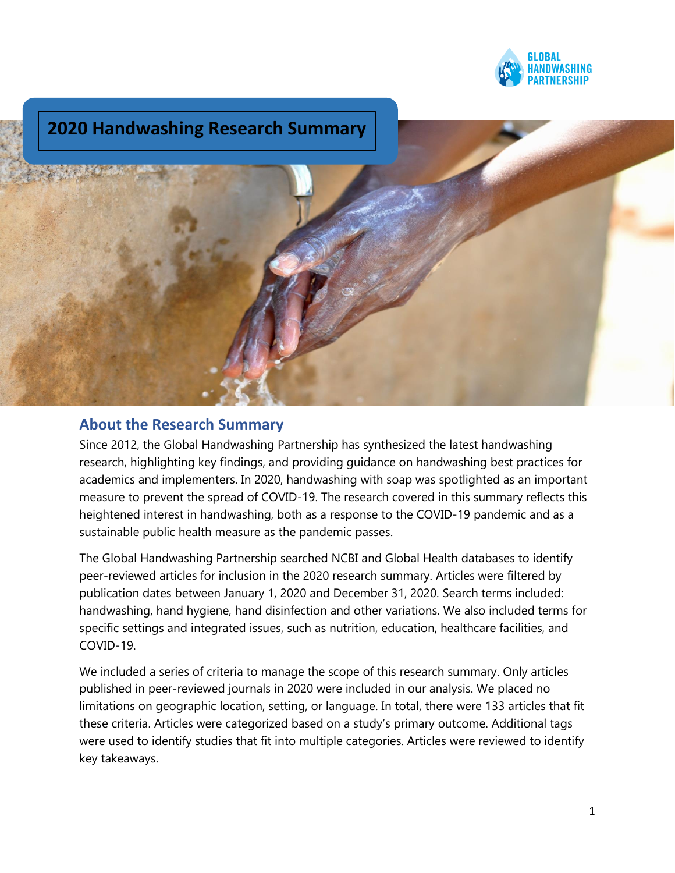

# **2020 Handwashing Research Summary**



## **About the Research Summary**

Since 2012, the Global Handwashing Partnership has synthesized the latest handwashing research, highlighting key findings, and providing guidance on handwashing best practices for academics and implementers. In 2020, handwashing with soap was spotlighted as an important measure to prevent the spread of COVID-19. The research covered in this summary reflects this heightened interest in handwashing, both as a response to the COVID-19 pandemic and as a sustainable public health measure as the pandemic passes.

The Global Handwashing Partnership searched NCBI and Global Health databases to identify peer-reviewed articles for inclusion in the 2020 research summary. Articles were filtered by publication dates between January 1, 2020 and December 31, 2020. Search terms included: handwashing, hand hygiene, hand disinfection and other variations. We also included terms for specific settings and integrated issues, such as nutrition, education, healthcare facilities, and COVID-19.

We included a series of criteria to manage the scope of this research summary. Only articles published in peer-reviewed journals in 2020 were included in our analysis. We placed no limitations on geographic location, setting, or language. In total, there were 133 articles that fit these criteria. Articles were categorized based on a study's primary outcome. Additional tags were used to identify studies that fit into multiple categories. Articles were reviewed to identify key takeaways.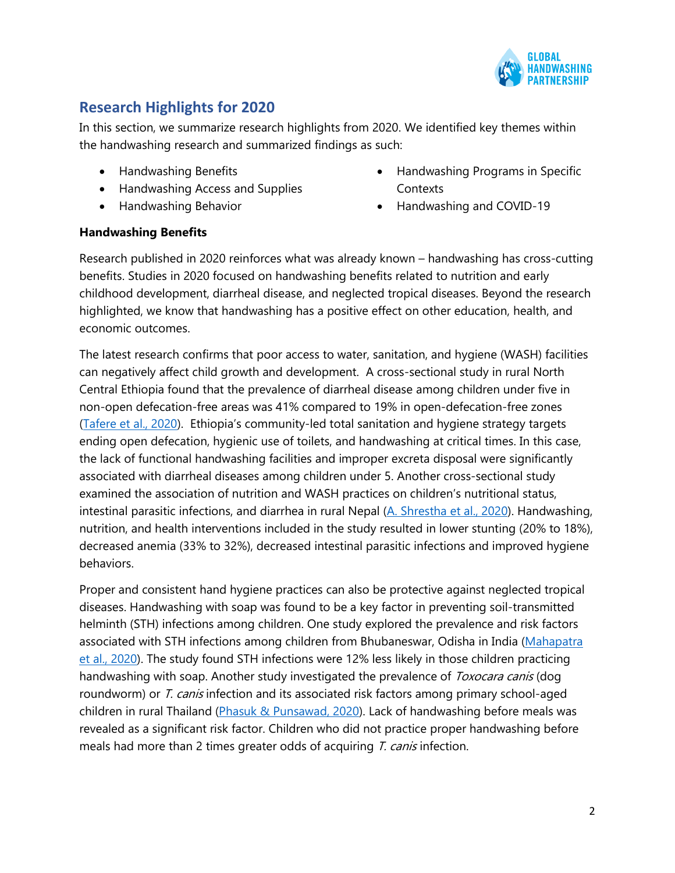

# **Research Highlights for 2020**

In this section, we summarize research highlights from 2020. We identified key themes within the handwashing research and summarized findings as such:

- Handwashing Benefits
- Handwashing Access and Supplies
- Handwashing Behavior
- Handwashing Programs in Specific **Contexts**
- Handwashing and COVID-19

#### **Handwashing Benefits**

Research published in 2020 reinforces what was already known – handwashing has cross-cutting benefits. Studies in 2020 focused on handwashing benefits related to nutrition and early childhood development, diarrheal disease, and neglected tropical diseases. Beyond the research highlighted, we know that handwashing has a positive effect on other education, health, and economic outcomes.

The latest research confirms that poor access to water, sanitation, and hygiene (WASH) facilities can negatively affect child growth and development. A cross-sectional study in rural North Central Ethiopia found that the prevalence of diarrheal disease among children under five in non-open defecation-free areas was 41% compared to 19% in open-defecation-free zones [\(Tafere et al., 2020\)](https://www.hindawi.com/journals/jeph/2020/6027079/). Ethiopia's community-led total sanitation and hygiene strategy targets ending open defecation, hygienic use of toilets, and handwashing at critical times. In this case, the lack of functional handwashing facilities and improper excreta disposal were significantly associated with diarrheal diseases among children under 5. Another cross-sectional study examined the association of nutrition and WASH practices on children's nutritional status, intestinal parasitic infections, and diarrhea in rural Nepal [\(A. Shrestha et al., 2020\)](https://bmcpublichealth.biomedcentral.com/articles/10.1186/s12889-020-09302-3). Handwashing, nutrition, and health interventions included in the study resulted in lower stunting (20% to 18%), decreased anemia (33% to 32%), decreased intestinal parasitic infections and improved hygiene behaviors.

Proper and consistent hand hygiene practices can also be protective against neglected tropical diseases. Handwashing with soap was found to be a key factor in preventing soil-transmitted helminth (STH) infections among children. One study explored the prevalence and risk factors associated with STH infections among children from Bhubaneswar, Odisha in India [\(Mahapatra](https://www.tropicalparasitology.org/article.asp?issn=2229-5070;year=2020;volume=10;issue=1;spage=34;epage=38;aulast=Mahapatra)  [et al., 2020\)](https://www.tropicalparasitology.org/article.asp?issn=2229-5070;year=2020;volume=10;issue=1;spage=34;epage=38;aulast=Mahapatra). The study found STH infections were 12% less likely in those children practicing handwashing with soap. Another study investigated the prevalence of *Toxocara canis* (dog roundworm) or T. canis infection and its associated risk factors among primary school-aged children in rural Thailand [\(Phasuk & Punsawad, 2020\)](https://pubmed.ncbi.nlm.nih.gov/32336929/). Lack of handwashing before meals was revealed as a significant risk factor. Children who did not practice proper handwashing before meals had more than 2 times greater odds of acquiring  $T$ . canis infection.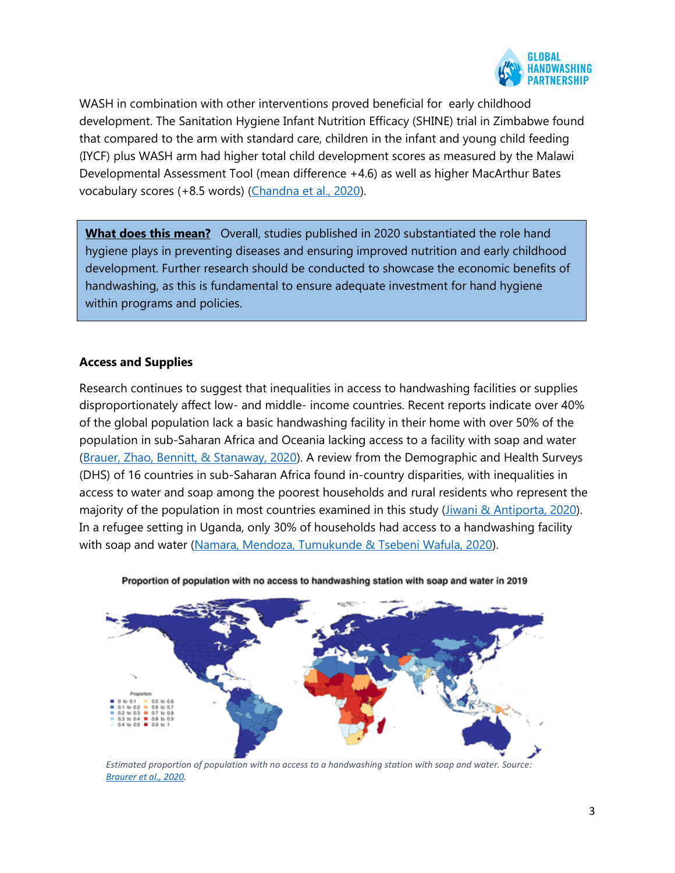

WASH in combination with other interventions proved beneficial for early childhood development. The Sanitation Hygiene Infant Nutrition Efficacy (SHINE) trial in Zimbabwe found that compared to the arm with standard care, children in the infant and young child feeding (IYCF) plus WASH arm had higher total child development scores as measured by the Malawi Developmental Assessment Tool (mean difference +4.6) as well as higher MacArthur Bates vocabulary scores (+8.5 words) [\(Chandna et al., 2020\)](https://gh.bmj.com/content/5/1/e001718).

**What does this mean?** Overall, studies published in 2020 substantiated the role hand hygiene plays in preventing diseases and ensuring improved nutrition and early childhood development. Further research should be conducted to showcase the economic benefits of handwashing, as this is fundamental to ensure adequate investment for hand hygiene within programs and policies.

#### **Access and Supplies**

Research continues to suggest that inequalities in access to handwashing facilities or supplies disproportionately affect low- and middle- income countries. Recent reports indicate over 40% of the global population lack a basic handwashing facility in their home with over 50% of the population in sub-Saharan Africa and Oceania lacking access to a facility with soap and water [\(Brauer, Zhao, Bennitt, & Stanaway, 2020\)](https://ehp.niehs.nih.gov/doi/full/10.1289/EHP7200). A review from the Demographic and Health Surveys (DHS) of 16 countries in sub-Saharan Africa found in-country disparities, with inequalities in access to water and soap among the poorest households and rural residents who represent the majority of the population in most countries examined in this study [\(Jiwani & Antiporta, 2020\).](https://pubmed.ncbi.nlm.nih.gov/32493409/) In a refugee setting in Uganda, only 30% of households had access to a handwashing facility with soap and water [\(Namara, Mendoza, Tumukunde & Tsebeni Wafula, 2020\)](https://pubmed.ncbi.nlm.nih.gov/32322282/).



Proportion of population with no access to handwashing station with soap and water in 2019

*Estimated proportion of population with no access to a handwashing station with soap and water. Source: Braurer [et al., 2020.](https://ehp.niehs.nih.gov/doi/full/10.1289/EHP7200)*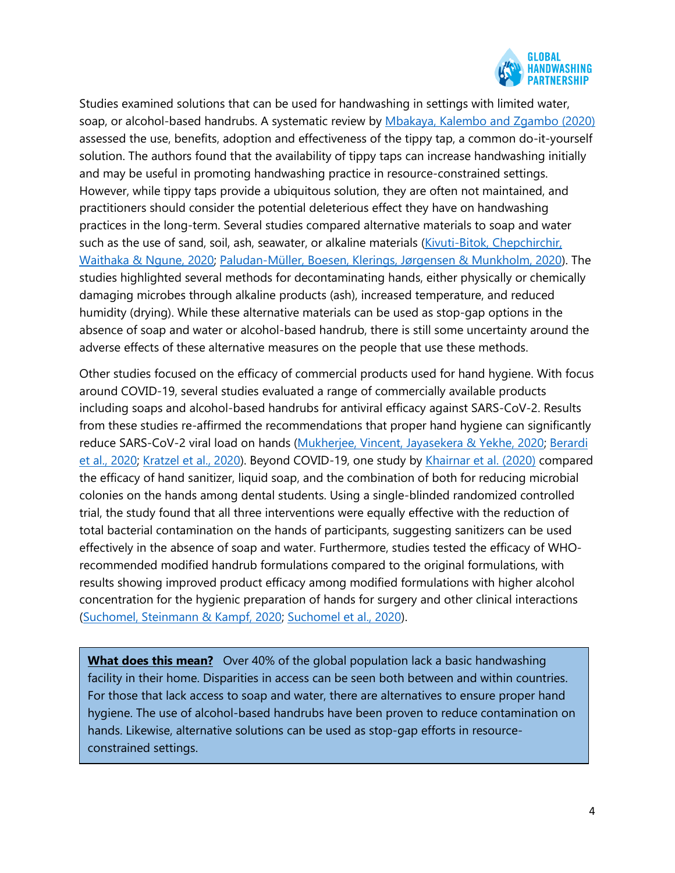

Studies examined solutions that can be used for handwashing in settings with limited water, soap, or alcohol-based handrubs. A systematic review by [Mbakaya, Kalembo and Zgambo \(2020\)](https://bmcpublichealth.biomedcentral.com/articles/10.1186/s12889-020-09101-w) assessed the use, benefits, adoption and effectiveness of the tippy tap, a common do-it-yourself solution. The authors found that the availability of tippy taps can increase handwashing initially and may be useful in promoting handwashing practice in resource-constrained settings. However, while tippy taps provide a ubiquitous solution, they are often not maintained, and practitioners should consider the potential deleterious effect they have on handwashing practices in the long-term. Several studies compared alternative materials to soap and water such as the use of sand, soil, ash, seawater, or alkaline materials [\(Kivuti-Bitok, Chepchirchir,](https://pubmed.ncbi.nlm.nih.gov/32578477/)  [Waithaka & Ngune, 2020;](https://pubmed.ncbi.nlm.nih.gov/32578477/) [Paludan-Müller, Boesen, Klerings, Jørgensen & Munkholm, 2020\)](https://pubmed.ncbi.nlm.nih.gov/32343408/). The studies highlighted several methods for decontaminating hands, either physically or chemically damaging microbes through alkaline products (ash), increased temperature, and reduced humidity (drying). While these alternative materials can be used as stop-gap options in the absence of soap and water or alcohol-based handrub, there is still some uncertainty around the adverse effects of these alternative measures on the people that use these methods.

Other studies focused on the efficacy of commercial products used for hand hygiene. With focus around COVID-19, several studies evaluated a range of commercially available products including soaps and alcohol-based handrubs for antiviral efficacy against SARS-CoV-2. Results from these studies re-affirmed the recommendations that proper hand hygiene can significantly reduce SARS-CoV-2 viral load on hands [\(Mukherjee, Vincent, Jayasekera & Yekhe, 2020;](https://pubmed.ncbi.nlm.nih.gov/33012695/) [Berardi](https://pubmed.ncbi.nlm.nih.gov/32461194/)  [et al., 2020;](https://pubmed.ncbi.nlm.nih.gov/32461194/) [Kratzel et al., 2020\)](https://pubmed.ncbi.nlm.nih.gov/32284092/). Beyond COVID-19, one study by [Khairnar et al. \(2020\)](https://pubmed.ncbi.nlm.nih.gov/32728325/) compared the efficacy of hand sanitizer, liquid soap, and the combination of both for reducing microbial colonies on the hands among dental students. Using a single-blinded randomized controlled trial, the study found that all three interventions were equally effective with the reduction of total bacterial contamination on the hands of participants, suggesting sanitizers can be used effectively in the absence of soap and water. Furthermore, studies tested the efficacy of WHOrecommended modified handrub formulations compared to the original formulations, with results showing improved product efficacy among modified formulations with higher alcohol concentration for the hygienic preparation of hands for surgery and other clinical interactions [\(Suchomel, Steinmann & Kampf, 2020;](https://www.sciencedirect.com/science/article/pii/S0195670120303844) [Suchomel et al., 2020\)](https://pubmed.ncbi.nlm.nih.gov/32459621/).

**What does this mean?** Over 40% of the global population lack a basic handwashing facility in their home. Disparities in access can be seen both between and within countries. For those that lack access to soap and water, there are alternatives to ensure proper hand hygiene. The use of alcohol-based handrubs have been proven to reduce contamination on hands. Likewise, alternative solutions can be used as stop-gap efforts in resourceconstrained settings.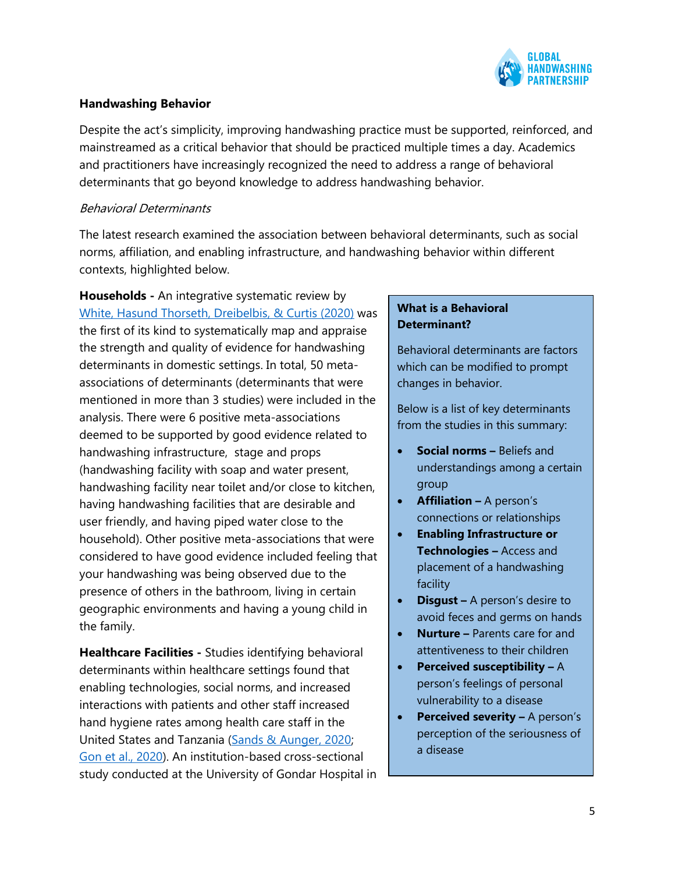

#### **Handwashing Behavior**

Despite the act's simplicity, improving handwashing practice must be supported, reinforced, and mainstreamed as a critical behavior that should be practiced multiple times a day. Academics and practitioners have increasingly recognized the need to address a range of behavioral determinants that go beyond knowledge to address handwashing behavior.

#### Behavioral Determinants

The latest research examined the association between behavioral determinants, such as social norms, affiliation, and enabling infrastructure, and handwashing behavior within different contexts, highlighted below.

**Households -** An integrative systematic review by [White, Hasund Thorseth, Dreibelbis, & Curtis \(2020\)](https://www.sciencedirect.com/science/article/pii/S1438463919311101) was the first of its kind to systematically map and appraise the strength and quality of evidence for handwashing determinants in domestic settings. In total, 50 metaassociations of determinants (determinants that were mentioned in more than 3 studies) were included in the analysis. There were 6 positive meta-associations deemed to be supported by good evidence related to handwashing infrastructure, stage and props (handwashing facility with soap and water present, handwashing facility near toilet and/or close to kitchen, having handwashing facilities that are desirable and user friendly, and having piped water close to the household). Other positive meta-associations that were considered to have good evidence included feeling that your handwashing was being observed due to the presence of others in the bathroom, living in certain geographic environments and having a young child in the family.

**Healthcare Facilities -** Studies identifying behavioral determinants within healthcare settings found that enabling technologies, social norms, and increased interactions with patients and other staff increased hand hygiene rates among health care staff in the United States and Tanzania [\(Sands & Aunger, 2020;](https://pubmed.ncbi.nlm.nih.gov/32255783/) [Gon et al., 2020\)](https://pubmed.ncbi.nlm.nih.gov/32102276/). An institution-based cross-sectional study conducted at the University of Gondar Hospital in

### **What is a Behavioral Determinant?**

Behavioral determinants are factors which can be modified to prompt changes in behavior.

Below is a list of key determinants from the studies in this summary:

- **Social norms –** Beliefs and understandings among a certain group
- **Affiliation –** A person's connections or relationships
- **Enabling Infrastructure or Technologies –** Access and placement of a handwashing facility
- **Disgust –** A person's desire to avoid feces and germs on hands
- **Nurture –** Parents care for and attentiveness to their children
- **Perceived susceptibility –** A person's feelings of personal vulnerability to a disease
- **Perceived severity –** A person's perception of the seriousness of a disease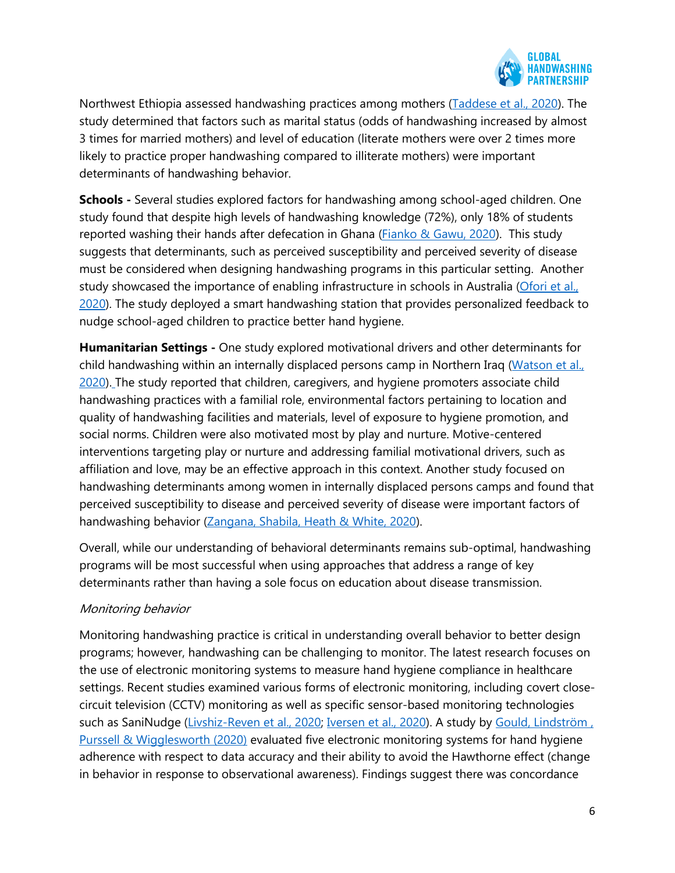

Northwest Ethiopia assessed handwashing practices among mothers [\(Taddese et al., 2020\)](https://pubmed.ncbi.nlm.nih.gov/32210661/). The study determined that factors such as marital status (odds of handwashing increased by almost 3 times for married mothers) and level of education (literate mothers were over 2 times more likely to practice proper handwashing compared to illiterate mothers) were important determinants of handwashing behavior.

**Schools -** Several studies explored factors for handwashing among school-aged children. One study found that despite high levels of handwashing knowledge (72%), only 18% of students reported washing their hands after defecation in Ghana [\(Fianko & Gawu, 2020\)](https://pubmed.ncbi.nlm.nih.gov/33090217/). This study suggests that determinants, such as perceived susceptibility and perceived severity of disease must be considered when designing handwashing programs in this particular setting. Another study showcased the importance of enabling infrastructure in schools in Australia [\(Ofori et al.,](https://www.tandfonline.com/doi/abs/10.1080/09603123.2020.1784398?journalCode=cije20)  [2020\)](https://www.tandfonline.com/doi/abs/10.1080/09603123.2020.1784398?journalCode=cije20). The study deployed a smart handwashing station that provides personalized feedback to nudge school-aged children to practice better hand hygiene.

**Humanitarian Settings -** One study explored motivational drivers and other determinants for child handwashing within an internally displaced persons camp in Northern Iraq [\(Watson et al.,](https://journals.plos.org/plosone/article?id=10.1371/journal.pone.0228482)  [2020\)](https://journals.plos.org/plosone/article?id=10.1371/journal.pone.0228482). The study reported that children, caregivers, and hygiene promoters associate child handwashing practices with a familial role, environmental factors pertaining to location and quality of handwashing facilities and materials, level of exposure to hygiene promotion, and social norms. Children were also motivated most by play and nurture. Motive-centered interventions targeting play or nurture and addressing familial motivational drivers, such as affiliation and love, may be an effective approach in this context. Another study focused on handwashing determinants among women in internally displaced persons camps and found that perceived susceptibility to disease and perceived severity of disease were important factors of handwashing behavior [\(Zangana, Shabila, Heath & White, 2020\)](https://journals.plos.org/plosone/article?id=10.1371/journal.pone.0231694).

Overall, while our understanding of behavioral determinants remains sub-optimal, handwashing programs will be most successful when using approaches that address a range of key determinants rather than having a sole focus on education about disease transmission.

#### Monitoring behavior

Monitoring handwashing practice is critical in understanding overall behavior to better design programs; however, handwashing can be challenging to monitor. The latest research focuses on the use of electronic monitoring systems to measure hand hygiene compliance in healthcare settings. Recent studies examined various forms of electronic monitoring, including covert closecircuit television (CCTV) monitoring as well as specific sensor-based monitoring technologies such as SaniNudge [\(Livshiz-Reven et al., 2020;](https://pubmed.ncbi.nlm.nih.gov/31676159/) [Iversen et al., 2020\)](https://pubmed.ncbi.nlm.nih.gov/31635879/). A study by Gould, Lindström, [Purssell & Wigglesworth \(2020\)](https://journals.sagepub.com/doi/full/10.1177/1757177420907999#:~:text=The%20Hawthorne%20effect%20(higher%20rate,the%20observer%20was%20not%20present.) evaluated five electronic monitoring systems for hand hygiene adherence with respect to data accuracy and their ability to avoid the Hawthorne effect (change in behavior in response to observational awareness). Findings suggest there was concordance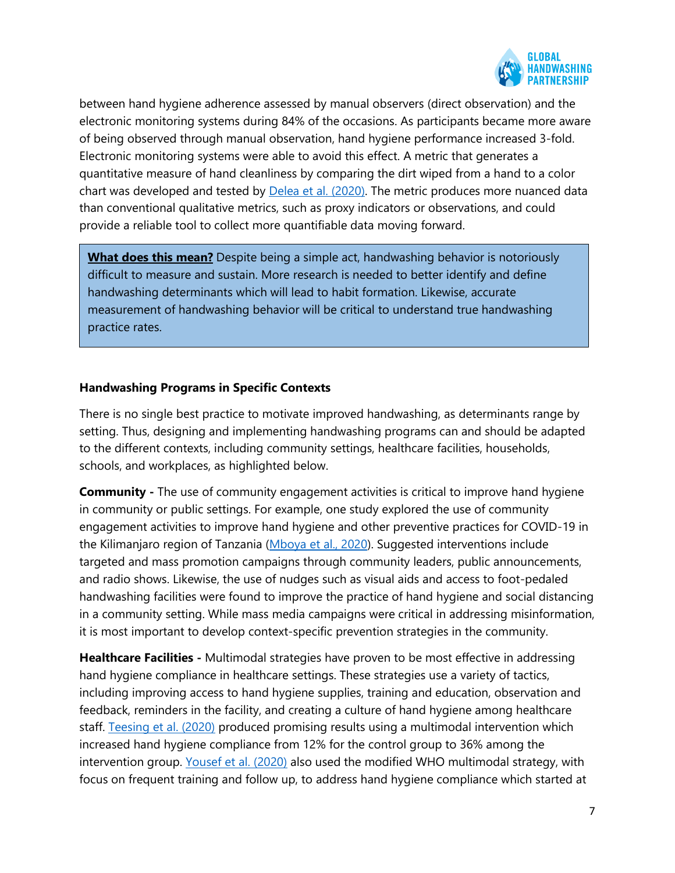

between hand hygiene adherence assessed by manual observers (direct observation) and the electronic monitoring systems during 84% of the occasions. As participants became more aware of being observed through manual observation, hand hygiene performance increased 3-fold. Electronic monitoring systems were able to avoid this effect. A metric that generates a quantitative measure of hand cleanliness by comparing the dirt wiped from a hand to a color chart was developed and tested by **Delea et al.** (2020). The metric produces more nuanced data than conventional qualitative metrics, such as proxy indicators or observations, and could provide a reliable tool to collect more quantifiable data moving forward.

**What does this mean?** Despite being a simple act, handwashing behavior is notoriously difficult to measure and sustain. More research is needed to better identify and define handwashing determinants which will lead to habit formation. Likewise, accurate measurement of handwashing behavior will be critical to understand true handwashing practice rates.

#### **Handwashing Programs in Specific Contexts**

There is no single best practice to motivate improved handwashing, as determinants range by setting. Thus, designing and implementing handwashing programs can and should be adapted to the different contexts, including community settings, healthcare facilities, households, schools, and workplaces, as highlighted below.

**Community -** The use of community engagement activities is critical to improve hand hygiene in community or public settings. For example, one study explored the use of community engagement activities to improve hand hygiene and other preventive practices for COVID-19 in the Kilimanjaro region of Tanzania [\(Mboya et al., 2020\)](https://www.ncbi.nlm.nih.gov/pmc/articles/PMC7608759/). Suggested interventions include targeted and mass promotion campaigns through community leaders, public announcements, and radio shows. Likewise, the use of nudges such as visual aids and access to foot-pedaled handwashing facilities were found to improve the practice of hand hygiene and social distancing in a community setting. While mass media campaigns were critical in addressing misinformation, it is most important to develop context-specific prevention strategies in the community.

**Healthcare Facilities -** Multimodal strategies have proven to be most effective in addressing hand hygiene compliance in healthcare settings. These strategies use a variety of tactics, including improving access to hand hygiene supplies, training and education, observation and feedback, reminders in the facility, and creating a culture of hand hygiene among healthcare staff. [Teesing et al. \(2020\)](https://pubmed.ncbi.nlm.nih.gov/32748765/) produced promising results using a multimodal intervention which increased hand hygiene compliance from 12% for the control group to 36% among the intervention group. [Yousef et al. \(2020\)](https://pubmed.ncbi.nlm.nih.gov/31601445/) also used the modified WHO multimodal strategy, with focus on frequent training and follow up, to address hand hygiene compliance which started at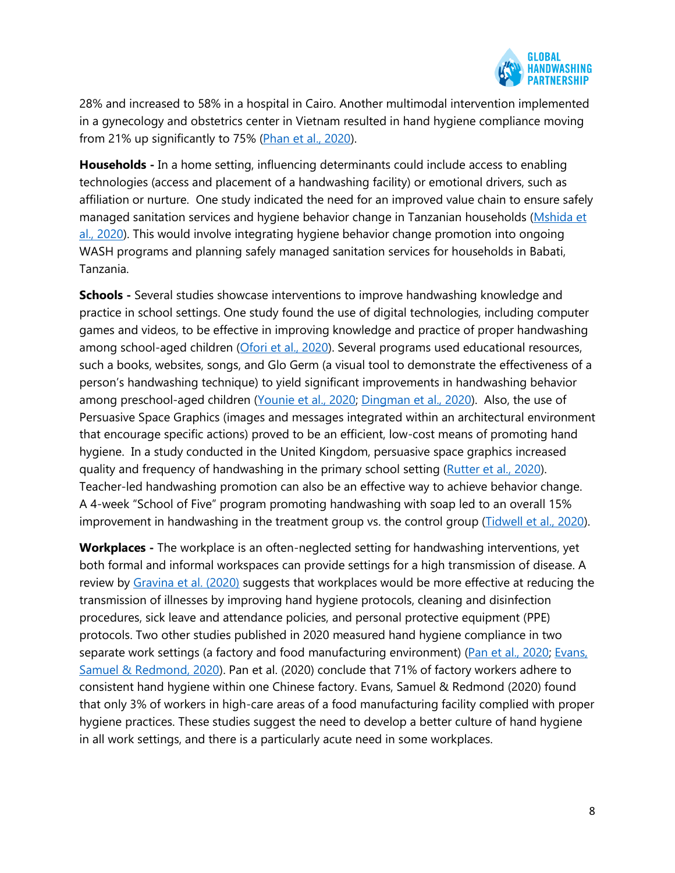

28% and increased to 58% in a hospital in Cairo. Another multimodal intervention implemented in a gynecology and obstetrics center in Vietnam resulted in hand hygiene compliance moving from 21% up significantly to 75% [\(Phan et al., 2020\)](https://www.ncbi.nlm.nih.gov/pmc/articles/PMC7146877/).

**Households -** In a home setting, influencing determinants could include access to enabling technologies (access and placement of a handwashing facility) or emotional drivers, such as affiliation or nurture. One study indicated the need for an improved value chain to ensure safely managed sanitation services and hygiene behavior change in Tanzanian households [\(Mshida et](https://europepmc.org/article/MED/32815501)  [al., 2020\)](https://europepmc.org/article/MED/32815501). This would involve integrating hygiene behavior change promotion into ongoing WASH programs and planning safely managed sanitation services for households in Babati, Tanzania.

**Schools -** Several studies showcase interventions to improve handwashing knowledge and practice in school settings. One study found the use of digital technologies, including computer games and videos, to be effective in improving knowledge and practice of proper handwashing among school-aged children [\(Ofori et al., 2020\)](https://www.tandfonline.com/doi/abs/10.1080/09603123.2020.1784398?journalCode=cije20). Several programs used educational resources, such a books, websites, songs, and Glo Germ (a visual tool to demonstrate the effectiveness of a person's handwashing technique) to yield significant improvements in handwashing behavior among preschool-aged children [\(Younie et al., 2020;](https://pubmed.ncbi.nlm.nih.gov/33227004/) [Dingman et al., 2020\)](https://pubmed.ncbi.nlm.nih.gov/31756601/). Also, the use of Persuasive Space Graphics (images and messages integrated within an architectural environment that encourage specific actions) proved to be an efficient, low-cost means of promoting hand hygiene. In a study conducted in the United Kingdom, persuasive space graphics increased quality and frequency of handwashing in the primary school setting [\(Rutter et al., 2020\)](https://pubmed.ncbi.nlm.nih.gov/32244287/). Teacher-led handwashing promotion can also be an effective way to achieve behavior change. A 4-week "School of Five" program promoting handwashing with soap led to an overall 15% improvement in handwashing in the treatment group vs. the control group [\(Tidwell et al., 2020\)](https://pubmed.ncbi.nlm.nih.gov/32106240/).

**Workplaces -** The workplace is an often-neglected setting for handwashing interventions, yet both formal and informal workspaces can provide settings for a high transmission of disease. A review by [Gravina et al. \(2020\)](https://onlinelibrary.wiley.com/doi/10.1002/jaba.779) suggests that workplaces would be more effective at reducing the transmission of illnesses by improving hand hygiene protocols, cleaning and disinfection procedures, sick leave and attendance policies, and personal protective equipment (PPE) protocols. Two other studies published in 2020 measured hand hygiene compliance in two separate work settings (a factory and food manufacturing environment) [\(Pan et al., 2020;](https://pubmed.ncbi.nlm.nih.gov/32924947/) Evans, [Samuel & Redmond, 2020\)](https://pubmed.ncbi.nlm.nih.gov/32633547/). Pan et al. (2020) conclude that 71% of factory workers adhere to consistent hand hygiene within one Chinese factory. Evans, Samuel & Redmond (2020) found that only 3% of workers in high-care areas of a food manufacturing facility complied with proper hygiene practices. These studies suggest the need to develop a better culture of hand hygiene in all work settings, and there is a particularly acute need in some workplaces.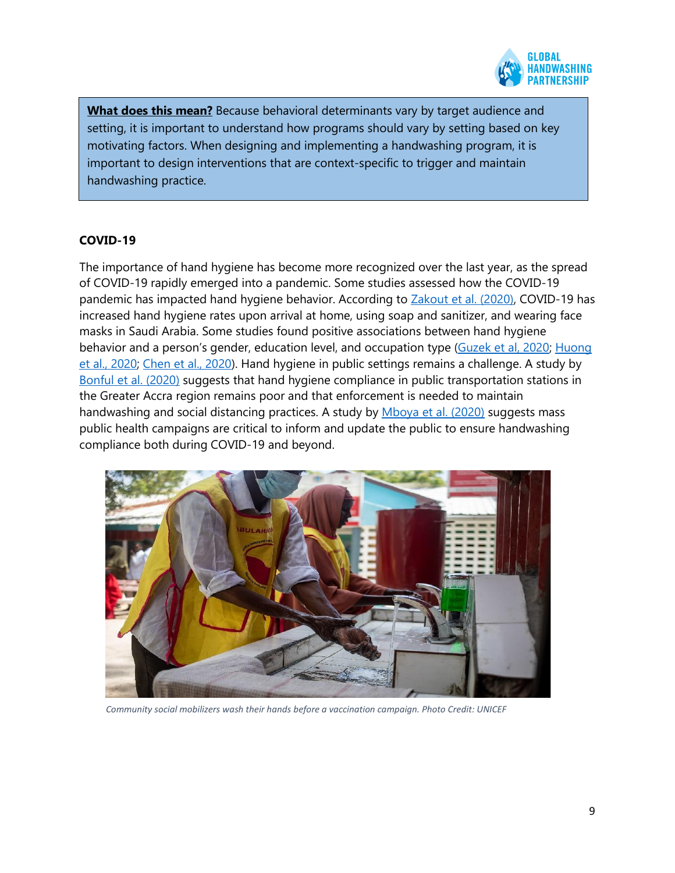

**What does this mean?** Because behavioral determinants vary by target audience and setting, it is important to understand how programs should vary by setting based on key motivating factors. When designing and implementing a handwashing program, it is important to design interventions that are context-specific to trigger and maintain handwashing practice.

#### **COVID-19**

The importance of hand hygiene has become more recognized over the last year, as the spread of COVID-19 rapidly emerged into a pandemic. Some studies assessed how the COVID-19 pandemic has impacted hand hygiene behavior. According to **Zakout et al. (2020)**, COVID-19 has increased hand hygiene rates upon arrival at home, using soap and sanitizer, and wearing face masks in Saudi Arabia. Some studies found positive associations between hand hygiene behavior and a person's gender, education level, and occupation type [\(Guzek et al, 2020;](https://urldefense.com/v3/__https:/pubmed.ncbi.nlm.nih.gov/32785004/__;!!ELf_LxN3sEQ!OWECqv-OYm-fDMv4ebRbN0BNemcd7bqX3KQv1_ZMKcGw53GtR_wi_f_rTBzIoumd-ew$) [Huong](https://urldefense.com/v3/__https:/www.ncbi.nlm.nih.gov/pmc/articles/PMC7505781/__;!!ELf_LxN3sEQ!OWECqv-OYm-fDMv4ebRbN0BNemcd7bqX3KQv1_ZMKcGw53GtR_wi_f_rTBzI-cjIaNg$)  [et al., 2020;](https://urldefense.com/v3/__https:/www.ncbi.nlm.nih.gov/pmc/articles/PMC7505781/__;!!ELf_LxN3sEQ!OWECqv-OYm-fDMv4ebRbN0BNemcd7bqX3KQv1_ZMKcGw53GtR_wi_f_rTBzI-cjIaNg$) [Chen et al., 2020\)](https://urldefense.com/v3/__https:/www.ncbi.nlm.nih.gov/pmc/articles/PMC7215913/__;!!ELf_LxN3sEQ!OWECqv-OYm-fDMv4ebRbN0BNemcd7bqX3KQv1_ZMKcGw53GtR_wi_f_rTBzIHz5nhvY$). Hand hygiene in public settings remains a challenge. A study by [Bonful et al. \(2020\)](https://journals.plos.org/plosone/article?id=10.1371/journal.pone.0238971) suggests that hand hygiene compliance in public transportation stations in the Greater Accra region remains poor and that enforcement is needed to maintain handwashing and social distancing practices. A study by [Mboya et al. \(2020\)](https://urldefense.com/v3/__https:/pubmed.ncbi.nlm.nih.gov/33193961/__;!!ELf_LxN3sEQ!OWECqv-OYm-fDMv4ebRbN0BNemcd7bqX3KQv1_ZMKcGw53GtR_wi_f_rTBzIHNcQNsA$) suggests mass public health campaigns are critical to inform and update the public to ensure handwashing compliance both during COVID-19 and beyond.



*Community social mobilizers wash their hands before a vaccination campaign. Photo Credit: UNICEF*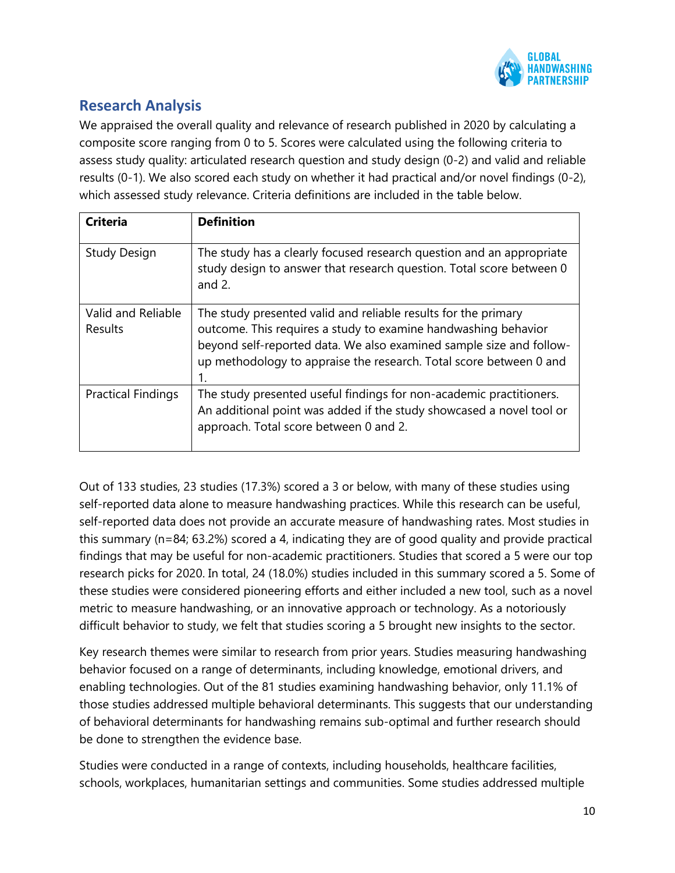

# **Research Analysis**

We appraised the overall quality and relevance of research published in 2020 by calculating a composite score ranging from 0 to 5. Scores were calculated using the following criteria to assess study quality: articulated research question and study design (0-2) and valid and reliable results (0-1). We also scored each study on whether it had practical and/or novel findings (0-2), which assessed study relevance. Criteria definitions are included in the table below.

| <b>Criteria</b>                      | <b>Definition</b>                                                                                                                                                                                                                                                                   |
|--------------------------------------|-------------------------------------------------------------------------------------------------------------------------------------------------------------------------------------------------------------------------------------------------------------------------------------|
| <b>Study Design</b>                  | The study has a clearly focused research question and an appropriate<br>study design to answer that research question. Total score between 0<br>and $2$ .                                                                                                                           |
| Valid and Reliable<br><b>Results</b> | The study presented valid and reliable results for the primary<br>outcome. This requires a study to examine handwashing behavior<br>beyond self-reported data. We also examined sample size and follow-<br>up methodology to appraise the research. Total score between 0 and<br>1. |
| <b>Practical Findings</b>            | The study presented useful findings for non-academic practitioners.<br>An additional point was added if the study showcased a novel tool or<br>approach. Total score between 0 and 2.                                                                                               |

Out of 133 studies, 23 studies (17.3%) scored a 3 or below, with many of these studies using self-reported data alone to measure handwashing practices. While this research can be useful, self-reported data does not provide an accurate measure of handwashing rates. Most studies in this summary (n=84; 63.2%) scored a 4, indicating they are of good quality and provide practical findings that may be useful for non-academic practitioners. Studies that scored a 5 were our top research picks for 2020. In total, 24 (18.0%) studies included in this summary scored a 5. Some of these studies were considered pioneering efforts and either included a new tool, such as a novel metric to measure handwashing, or an innovative approach or technology. As a notoriously difficult behavior to study, we felt that studies scoring a 5 brought new insights to the sector.

Key research themes were similar to research from prior years. Studies measuring handwashing behavior focused on a range of determinants, including knowledge, emotional drivers, and enabling technologies. Out of the 81 studies examining handwashing behavior, only 11.1% of those studies addressed multiple behavioral determinants. This suggests that our understanding of behavioral determinants for handwashing remains sub-optimal and further research should be done to strengthen the evidence base.

Studies were conducted in a range of contexts, including households, healthcare facilities, schools, workplaces, humanitarian settings and communities. Some studies addressed multiple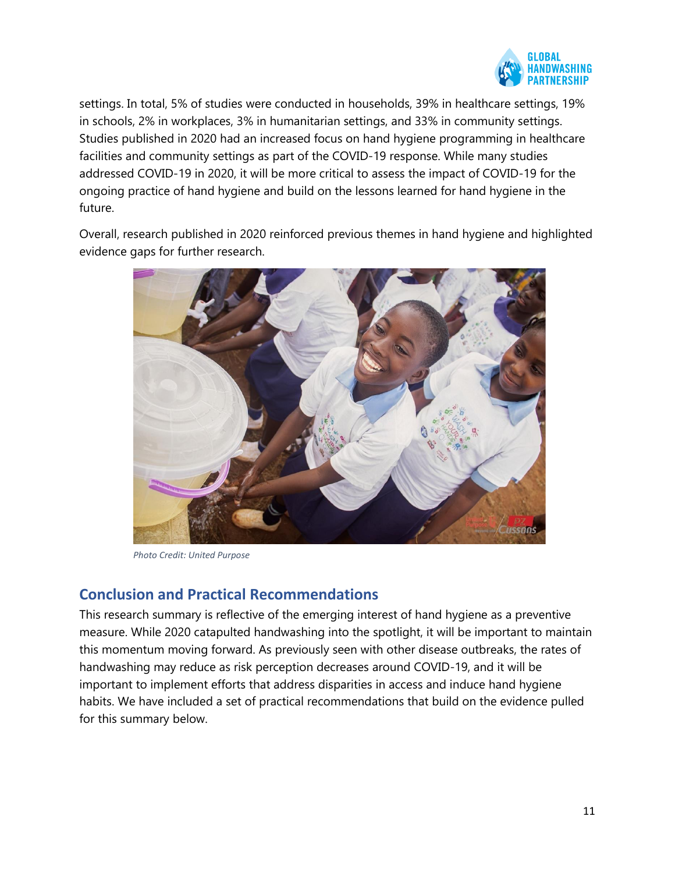

settings. In total, 5% of studies were conducted in households, 39% in healthcare settings, 19% in schools, 2% in workplaces, 3% in humanitarian settings, and 33% in community settings. Studies published in 2020 had an increased focus on hand hygiene programming in healthcare facilities and community settings as part of the COVID-19 response. While many studies addressed COVID-19 in 2020, it will be more critical to assess the impact of COVID-19 for the ongoing practice of hand hygiene and build on the lessons learned for hand hygiene in the future.

Overall, research published in 2020 reinforced previous themes in hand hygiene and highlighted evidence gaps for further research.



*Photo Credit: United Purpose*

## **Conclusion and Practical Recommendations**

This research summary is reflective of the emerging interest of hand hygiene as a preventive measure. While 2020 catapulted handwashing into the spotlight, it will be important to maintain this momentum moving forward. As previously seen with other disease outbreaks, the rates of handwashing may reduce as risk perception decreases around COVID-19, and it will be important to implement efforts that address disparities in access and induce hand hygiene habits. We have included a set of practical recommendations that build on the evidence pulled for this summary below.